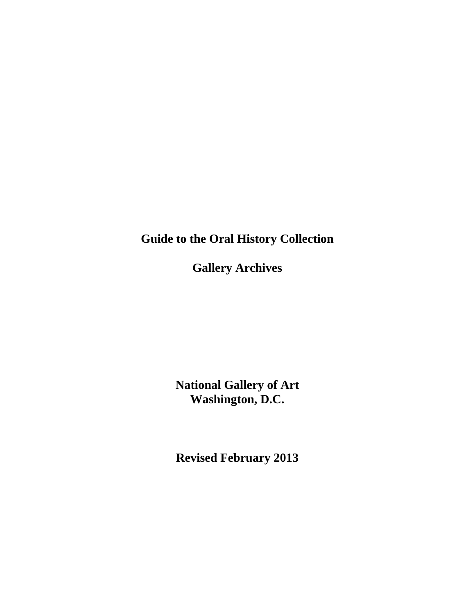**Guide to the Oral History Collection**

**Gallery Archives**

**National Gallery of Art Washington, D.C.**

**Revised February 2013**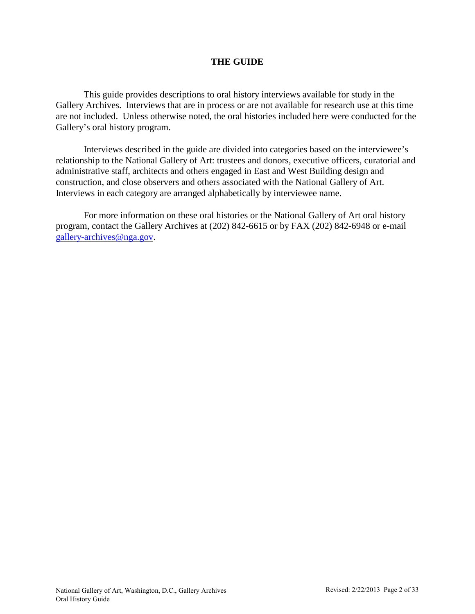# **THE GUIDE**

This guide provides descriptions to oral history interviews available for study in the Gallery Archives. Interviews that are in process or are not available for research use at this time are not included. Unless otherwise noted, the oral histories included here were conducted for the Gallery's oral history program.

Interviews described in the guide are divided into categories based on the interviewee's relationship to the National Gallery of Art: trustees and donors, executive officers, curatorial and administrative staff, architects and others engaged in East and West Building design and construction, and close observers and others associated with the National Gallery of Art. Interviews in each category are arranged alphabetically by interviewee name.

For more information on these oral histories or the National Gallery of Art oral history program, contact the Gallery Archives at (202) 842-6615 or by FAX (202) 842-6948 or e-mail [gallery-archives@nga.gov.](mailto:gallery-archives@nga.gov)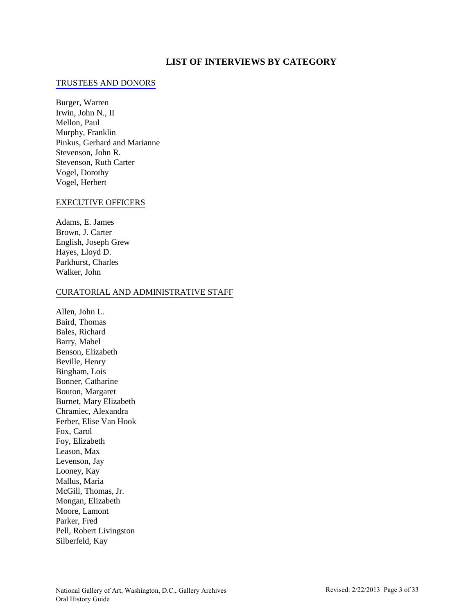## **LIST OF INTERVIEWS BY CATEGORY**

#### [TRUSTEES AND DONORS](#page-4-0)

Burger, Warren Irwin, John N., II Mellon, Paul Murphy, Franklin Pinkus, Gerhard and Marianne Stevenson, John R. Stevenson, Ruth Carter Vogel, Dorothy Vogel, Herbert

#### [EXECUTIVE OFFICERS](#page-7-0)

Adams, E. James Brown, J. Carter English, Joseph Grew Hayes, Lloyd D. Parkhurst, Charles Walker, John

#### [CURATORIAL AND ADMINISTRATIVE STAFF](#page-10-0)

Allen, John L. Baird, Thomas Bales, Richard Barry, Mabel Benson, Elizabeth Beville, Henry Bingham, Lois Bonner, Catharine Bouton, Margaret Burnet, Mary Elizabeth Chramiec, Alexandra Ferber, Elise Van Hook Fox, Carol Foy, Elizabeth Leason, Max Levenson, Jay Looney, Kay Mallus, Maria McGill, Thomas, Jr. Mongan, Elizabeth Moore, Lamont Parker, Fred Pell, Robert Livingston Silberfeld, Kay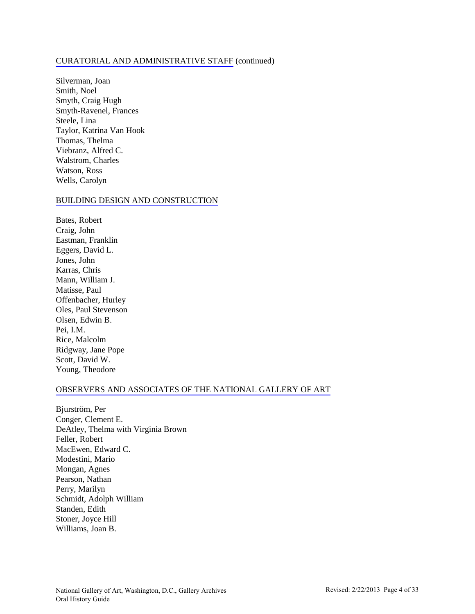#### [CURATORIAL AND ADMINISTRATIVE STAFF](#page-17-0) (continued)

Silverman, Joan Smith, Noel Smyth, Craig Hugh Smyth-Ravenel, Frances Steele, Lina Taylor, Katrina Van Hook Thomas, Thelma Viebranz, Alfred C. Walstrom, Charles Watson, Ross Wells, Carolyn

#### [BUILDING DESIGN AND CONSTRUCTION](#page-22-0)

Bates, Robert Craig, John Eastman, Franklin Eggers, David L. Jones, John Karras, Chris Mann, William J. Matisse, Paul Offenbacher, Hurley Oles, Paul Stevenson Olsen, Edwin B. Pei, I.M. Rice, Malcolm Ridgway, Jane Pope Scott, David W. Young, Theodore

#### [OBSERVERS AND ASSOCIATES OF THE NATIONAL GALLERY OF ART](#page-28-0)

Bjurström, Per Conger, Clement E. DeAtley, Thelma with Virginia Brown Feller, Robert MacEwen, Edward C. Modestini, Mario Mongan, Agnes Pearson, Nathan Perry, Marilyn Schmidt, Adolph William Standen, Edith Stoner, Joyce Hill Williams, Joan B.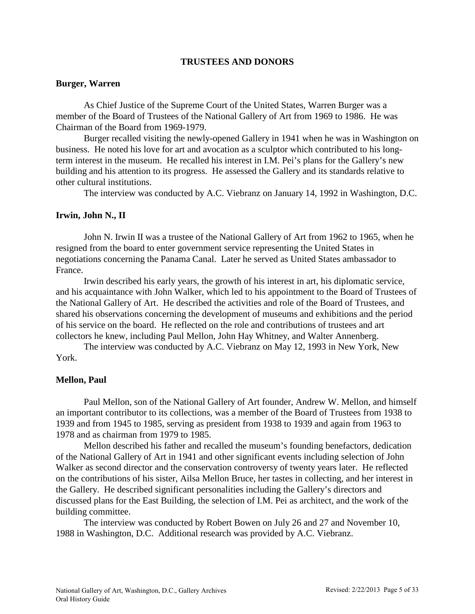## **TRUSTEES AND DONORS**

## <span id="page-4-0"></span>**Burger, Warren**

As Chief Justice of the Supreme Court of the United States, Warren Burger was a member of the Board of Trustees of the National Gallery of Art from 1969 to 1986. He was Chairman of the Board from 1969-1979.

Burger recalled visiting the newly-opened Gallery in 1941 when he was in Washington on business. He noted his love for art and avocation as a sculptor which contributed to his longterm interest in the museum. He recalled his interest in I.M. Pei's plans for the Gallery's new building and his attention to its progress. He assessed the Gallery and its standards relative to other cultural institutions.

The interview was conducted by A.C. Viebranz on January 14, 1992 in Washington, D.C.

# **Irwin, John N., II**

John N. Irwin II was a trustee of the National Gallery of Art from 1962 to 1965, when he resigned from the board to enter government service representing the United States in negotiations concerning the Panama Canal. Later he served as United States ambassador to France.

Irwin described his early years, the growth of his interest in art, his diplomatic service, and his acquaintance with John Walker, which led to his appointment to the Board of Trustees of the National Gallery of Art. He described the activities and role of the Board of Trustees, and shared his observations concerning the development of museums and exhibitions and the period of his service on the board. He reflected on the role and contributions of trustees and art collectors he knew, including Paul Mellon, John Hay Whitney, and Walter Annenberg.

The interview was conducted by A.C. Viebranz on May 12, 1993 in New York, New York.

# **Mellon, Paul**

Paul Mellon, son of the National Gallery of Art founder, Andrew W. Mellon, and himself an important contributor to its collections, was a member of the Board of Trustees from 1938 to 1939 and from 1945 to 1985, serving as president from 1938 to 1939 and again from 1963 to 1978 and as chairman from 1979 to 1985.

Mellon described his father and recalled the museum's founding benefactors, dedication of the National Gallery of Art in 1941 and other significant events including selection of John Walker as second director and the conservation controversy of twenty years later. He reflected on the contributions of his sister, Ailsa Mellon Bruce, her tastes in collecting, and her interest in the Gallery. He described significant personalities including the Gallery's directors and discussed plans for the East Building, the selection of I.M. Pei as architect, and the work of the building committee.

The interview was conducted by Robert Bowen on July 26 and 27 and November 10, 1988 in Washington, D.C. Additional research was provided by A.C. Viebranz.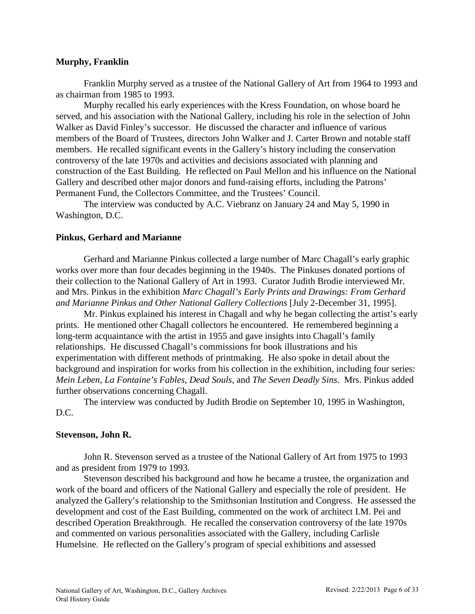## **Murphy, Franklin**

Franklin Murphy served as a trustee of the National Gallery of Art from 1964 to 1993 and as chairman from 1985 to 1993.

Murphy recalled his early experiences with the Kress Foundation, on whose board he served, and his association with the National Gallery, including his role in the selection of John Walker as David Finley's successor. He discussed the character and influence of various members of the Board of Trustees, directors John Walker and J. Carter Brown and notable staff members. He recalled significant events in the Gallery's history including the conservation controversy of the late 1970s and activities and decisions associated with planning and construction of the East Building. He reflected on Paul Mellon and his influence on the National Gallery and described other major donors and fund-raising efforts, including the Patrons' Permanent Fund, the Collectors Committee, and the Trustees' Council.

The interview was conducted by A.C. Viebranz on January 24 and May 5, 1990 in Washington, D.C.

## **Pinkus, Gerhard and Marianne**

Gerhard and Marianne Pinkus collected a large number of Marc Chagall's early graphic works over more than four decades beginning in the 1940s. The Pinkuses donated portions of their collection to the National Gallery of Art in 1993. Curator Judith Brodie interviewed Mr. and Mrs. Pinkus in the exhibition *Marc Chagall's Early Prints and Drawings: From Gerhard and Marianne Pinkus and Other National Gallery Collections* [July 2-December 31, 1995].

Mr. Pinkus explained his interest in Chagall and why he began collecting the artist's early prints. He mentioned other Chagall collectors he encountered. He remembered beginning a long-term acquaintance with the artist in 1955 and gave insights into Chagall's family relationships. He discussed Chagall's commissions for book illustrations and his experimentation with different methods of printmaking. He also spoke in detail about the background and inspiration for works from his collection in the exhibition, including four series: *Mein Leben*, *La Fontaine's Fables, Dead Souls,* and *The Seven Deadly Sins*. Mrs. Pinkus added further observations concerning Chagall.

The interview was conducted by Judith Brodie on September 10, 1995 in Washington, D.C.

## **Stevenson, John R.**

John R. Stevenson served as a trustee of the National Gallery of Art from 1975 to 1993 and as president from 1979 to 1993.

Stevenson described his background and how he became a trustee, the organization and work of the board and officers of the National Gallery and especially the role of president. He analyzed the Gallery's relationship to the Smithsonian Institution and Congress. He assessed the development and cost of the East Building, commented on the work of architect I.M. Pei and described Operation Breakthrough. He recalled the conservation controversy of the late 1970s and commented on various personalities associated with the Gallery, including Carlisle Humelsine. He reflected on the Gallery's program of special exhibitions and assessed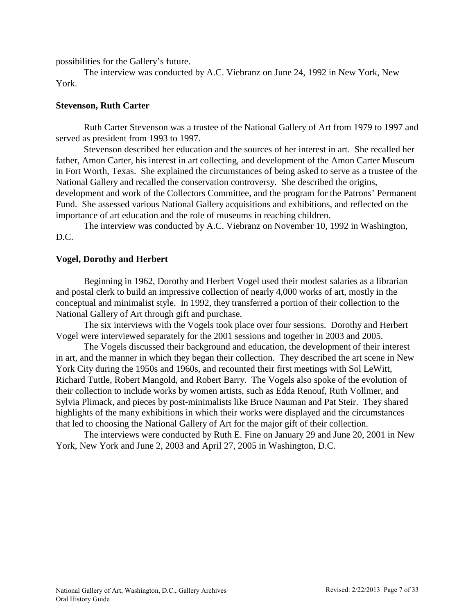possibilities for the Gallery's future.

The interview was conducted by A.C. Viebranz on June 24, 1992 in New York, New York.

## **Stevenson, Ruth Carter**

Ruth Carter Stevenson was a trustee of the National Gallery of Art from 1979 to 1997 and served as president from 1993 to 1997.

Stevenson described her education and the sources of her interest in art. She recalled her father, Amon Carter, his interest in art collecting, and development of the Amon Carter Museum in Fort Worth, Texas. She explained the circumstances of being asked to serve as a trustee of the National Gallery and recalled the conservation controversy. She described the origins, development and work of the Collectors Committee, and the program for the Patrons' Permanent Fund. She assessed various National Gallery acquisitions and exhibitions, and reflected on the importance of art education and the role of museums in reaching children.

The interview was conducted by A.C. Viebranz on November 10, 1992 in Washington, D.C.

## **Vogel, Dorothy and Herbert**

Beginning in 1962, Dorothy and Herbert Vogel used their modest salaries as a librarian and postal clerk to build an impressive collection of nearly 4,000 works of art, mostly in the conceptual and minimalist style. In 1992, they transferred a portion of their collection to the National Gallery of Art through gift and purchase.

The six interviews with the Vogels took place over four sessions. Dorothy and Herbert Vogel were interviewed separately for the 2001 sessions and together in 2003 and 2005.

The Vogels discussed their background and education, the development of their interest in art, and the manner in which they began their collection. They described the art scene in New York City during the 1950s and 1960s, and recounted their first meetings with Sol LeWitt, Richard Tuttle, Robert Mangold, and Robert Barry. The Vogels also spoke of the evolution of their collection to include works by women artists, such as Edda Renouf, Ruth Vollmer, and Sylvia Plimack, and pieces by post-minimalists like Bruce Nauman and Pat Steir. They shared highlights of the many exhibitions in which their works were displayed and the circumstances that led to choosing the National Gallery of Art for the major gift of their collection.

The interviews were conducted by Ruth E. Fine on January 29 and June 20, 2001 in New York, New York and June 2, 2003 and April 27, 2005 in Washington, D.C.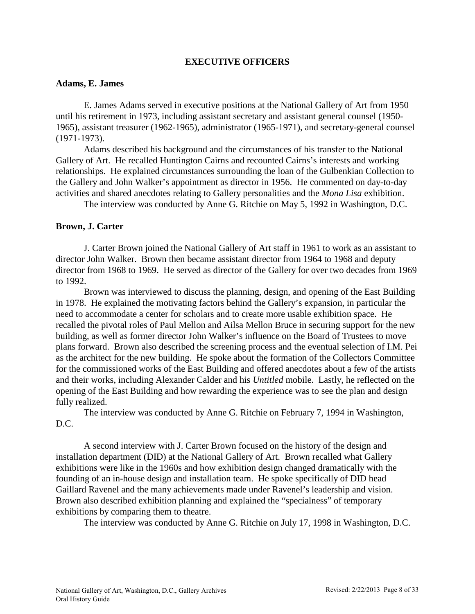# **EXECUTIVE OFFICERS**

### <span id="page-7-0"></span>**Adams, E. James**

E. James Adams served in executive positions at the National Gallery of Art from 1950 until his retirement in 1973, including assistant secretary and assistant general counsel (1950- 1965), assistant treasurer (1962-1965), administrator (1965-1971), and secretary-general counsel (1971-1973).

Adams described his background and the circumstances of his transfer to the National Gallery of Art. He recalled Huntington Cairns and recounted Cairns's interests and working relationships. He explained circumstances surrounding the loan of the Gulbenkian Collection to the Gallery and John Walker's appointment as director in 1956. He commented on day-to-day activities and shared anecdotes relating to Gallery personalities and the *Mona Lisa* exhibition.

The interview was conducted by Anne G. Ritchie on May 5, 1992 in Washington, D.C.

### **Brown, J. Carter**

J. Carter Brown joined the National Gallery of Art staff in 1961 to work as an assistant to director John Walker. Brown then became assistant director from 1964 to 1968 and deputy director from 1968 to 1969. He served as director of the Gallery for over two decades from 1969 to 1992.

Brown was interviewed to discuss the planning, design, and opening of the East Building in 1978. He explained the motivating factors behind the Gallery's expansion, in particular the need to accommodate a center for scholars and to create more usable exhibition space. He recalled the pivotal roles of Paul Mellon and Ailsa Mellon Bruce in securing support for the new building, as well as former director John Walker's influence on the Board of Trustees to move plans forward. Brown also described the screening process and the eventual selection of I.M. Pei as the architect for the new building. He spoke about the formation of the Collectors Committee for the commissioned works of the East Building and offered anecdotes about a few of the artists and their works, including Alexander Calder and his *Untitled* mobile. Lastly, he reflected on the opening of the East Building and how rewarding the experience was to see the plan and design fully realized.

The interview was conducted by Anne G. Ritchie on February 7, 1994 in Washington, D.C.

A second interview with J. Carter Brown focused on the history of the design and installation department (DID) at the National Gallery of Art. Brown recalled what Gallery exhibitions were like in the 1960s and how exhibition design changed dramatically with the founding of an in-house design and installation team. He spoke specifically of DID head Gaillard Ravenel and the many achievements made under Ravenel's leadership and vision. Brown also described exhibition planning and explained the "specialness" of temporary exhibitions by comparing them to theatre.

The interview was conducted by Anne G. Ritchie on July 17, 1998 in Washington, D.C.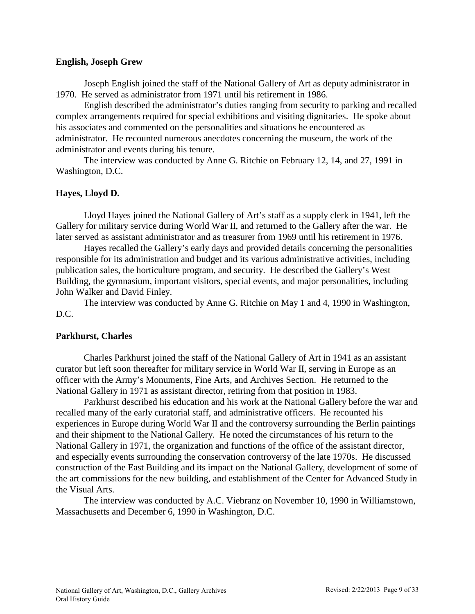### **English, Joseph Grew**

Joseph English joined the staff of the National Gallery of Art as deputy administrator in 1970. He served as administrator from 1971 until his retirement in 1986.

English described the administrator's duties ranging from security to parking and recalled complex arrangements required for special exhibitions and visiting dignitaries. He spoke about his associates and commented on the personalities and situations he encountered as administrator. He recounted numerous anecdotes concerning the museum, the work of the administrator and events during his tenure.

The interview was conducted by Anne G. Ritchie on February 12, 14, and 27, 1991 in Washington, D.C.

## **Hayes, Lloyd D.**

Lloyd Hayes joined the National Gallery of Art's staff as a supply clerk in 1941, left the Gallery for military service during World War II, and returned to the Gallery after the war. He later served as assistant administrator and as treasurer from 1969 until his retirement in 1976.

Hayes recalled the Gallery's early days and provided details concerning the personalities responsible for its administration and budget and its various administrative activities, including publication sales, the horticulture program, and security. He described the Gallery's West Building, the gymnasium, important visitors, special events, and major personalities, including John Walker and David Finley.

The interview was conducted by Anne G. Ritchie on May 1 and 4, 1990 in Washington, D.C.

## **Parkhurst, Charles**

Charles Parkhurst joined the staff of the National Gallery of Art in 1941 as an assistant curator but left soon thereafter for military service in World War II, serving in Europe as an officer with the Army's Monuments, Fine Arts, and Archives Section. He returned to the National Gallery in 1971 as assistant director, retiring from that position in 1983.

Parkhurst described his education and his work at the National Gallery before the war and recalled many of the early curatorial staff, and administrative officers. He recounted his experiences in Europe during World War II and the controversy surrounding the Berlin paintings and their shipment to the National Gallery. He noted the circumstances of his return to the National Gallery in 1971, the organization and functions of the office of the assistant director, and especially events surrounding the conservation controversy of the late 1970s. He discussed construction of the East Building and its impact on the National Gallery, development of some of the art commissions for the new building, and establishment of the Center for Advanced Study in the Visual Arts.

The interview was conducted by A.C. Viebranz on November 10, 1990 in Williamstown, Massachusetts and December 6, 1990 in Washington, D.C.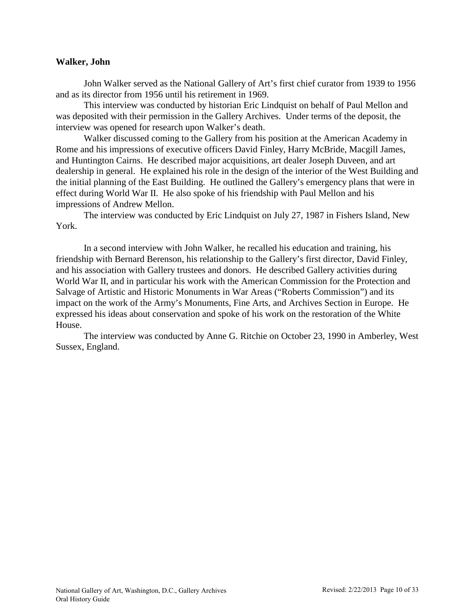## **Walker, John**

John Walker served as the National Gallery of Art's first chief curator from 1939 to 1956 and as its director from 1956 until his retirement in 1969.

This interview was conducted by historian Eric Lindquist on behalf of Paul Mellon and was deposited with their permission in the Gallery Archives. Under terms of the deposit, the interview was opened for research upon Walker's death.

Walker discussed coming to the Gallery from his position at the American Academy in Rome and his impressions of executive officers David Finley, Harry McBride, Macgill James, and Huntington Cairns. He described major acquisitions, art dealer Joseph Duveen, and art dealership in general. He explained his role in the design of the interior of the West Building and the initial planning of the East Building. He outlined the Gallery's emergency plans that were in effect during World War II. He also spoke of his friendship with Paul Mellon and his impressions of Andrew Mellon.

The interview was conducted by Eric Lindquist on July 27, 1987 in Fishers Island, New York.

In a second interview with John Walker, he recalled his education and training, his friendship with Bernard Berenson, his relationship to the Gallery's first director, David Finley, and his association with Gallery trustees and donors. He described Gallery activities during World War II, and in particular his work with the American Commission for the Protection and Salvage of Artistic and Historic Monuments in War Areas ("Roberts Commission") and its impact on the work of the Army's Monuments, Fine Arts, and Archives Section in Europe. He expressed his ideas about conservation and spoke of his work on the restoration of the White House.

The interview was conducted by Anne G. Ritchie on October 23, 1990 in Amberley, West Sussex, England.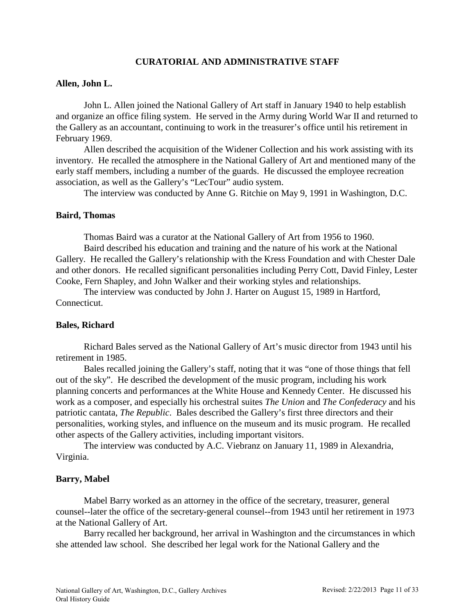# **CURATORIAL AND ADMINISTRATIVE STAFF**

### <span id="page-10-0"></span>**Allen, John L.**

John L. Allen joined the National Gallery of Art staff in January 1940 to help establish and organize an office filing system. He served in the Army during World War II and returned to the Gallery as an accountant, continuing to work in the treasurer's office until his retirement in February 1969.

Allen described the acquisition of the Widener Collection and his work assisting with its inventory. He recalled the atmosphere in the National Gallery of Art and mentioned many of the early staff members, including a number of the guards. He discussed the employee recreation association, as well as the Gallery's "LecTour" audio system.

The interview was conducted by Anne G. Ritchie on May 9, 1991 in Washington, D.C.

### **Baird, Thomas**

Thomas Baird was a curator at the National Gallery of Art from 1956 to 1960.

Baird described his education and training and the nature of his work at the National Gallery. He recalled the Gallery's relationship with the Kress Foundation and with Chester Dale and other donors. He recalled significant personalities including Perry Cott, David Finley, Lester Cooke, Fern Shapley, and John Walker and their working styles and relationships.

The interview was conducted by John J. Harter on August 15, 1989 in Hartford, Connecticut.

#### **Bales, Richard**

Richard Bales served as the National Gallery of Art's music director from 1943 until his retirement in 1985.

Bales recalled joining the Gallery's staff, noting that it was "one of those things that fell out of the sky". He described the development of the music program, including his work planning concerts and performances at the White House and Kennedy Center. He discussed his work as a composer, and especially his orchestral suites *The Union* and *The Confederacy* and his patriotic cantata, *The Republic*. Bales described the Gallery's first three directors and their personalities, working styles, and influence on the museum and its music program. He recalled other aspects of the Gallery activities, including important visitors.

The interview was conducted by A.C. Viebranz on January 11, 1989 in Alexandria, Virginia.

### **Barry, Mabel**

Mabel Barry worked as an attorney in the office of the secretary, treasurer, general counsel--later the office of the secretary-general counsel--from 1943 until her retirement in 1973 at the National Gallery of Art.

Barry recalled her background, her arrival in Washington and the circumstances in which she attended law school. She described her legal work for the National Gallery and the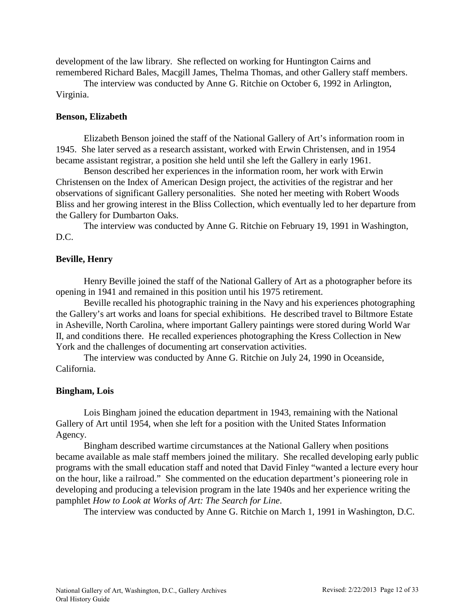development of the law library. She reflected on working for Huntington Cairns and remembered Richard Bales, Macgill James, Thelma Thomas, and other Gallery staff members.

The interview was conducted by Anne G. Ritchie on October 6, 1992 in Arlington, Virginia.

### **Benson, Elizabeth**

Elizabeth Benson joined the staff of the National Gallery of Art's information room in 1945. She later served as a research assistant, worked with Erwin Christensen, and in 1954 became assistant registrar, a position she held until she left the Gallery in early 1961.

Benson described her experiences in the information room, her work with Erwin Christensen on the Index of American Design project, the activities of the registrar and her observations of significant Gallery personalities. She noted her meeting with Robert Woods Bliss and her growing interest in the Bliss Collection, which eventually led to her departure from the Gallery for Dumbarton Oaks.

The interview was conducted by Anne G. Ritchie on February 19, 1991 in Washington, D.C.

### **Beville, Henry**

Henry Beville joined the staff of the National Gallery of Art as a photographer before its opening in 1941 and remained in this position until his 1975 retirement.

Beville recalled his photographic training in the Navy and his experiences photographing the Gallery's art works and loans for special exhibitions. He described travel to Biltmore Estate in Asheville, North Carolina, where important Gallery paintings were stored during World War II, and conditions there. He recalled experiences photographing the Kress Collection in New York and the challenges of documenting art conservation activities.

The interview was conducted by Anne G. Ritchie on July 24, 1990 in Oceanside, California.

#### **Bingham, Lois**

Lois Bingham joined the education department in 1943, remaining with the National Gallery of Art until 1954, when she left for a position with the United States Information Agency.

Bingham described wartime circumstances at the National Gallery when positions became available as male staff members joined the military. She recalled developing early public programs with the small education staff and noted that David Finley "wanted a lecture every hour on the hour, like a railroad." She commented on the education department's pioneering role in developing and producing a television program in the late 1940s and her experience writing the pamphlet *How to Look at Works of Art: The Search for Line*.

The interview was conducted by Anne G. Ritchie on March 1, 1991 in Washington, D.C.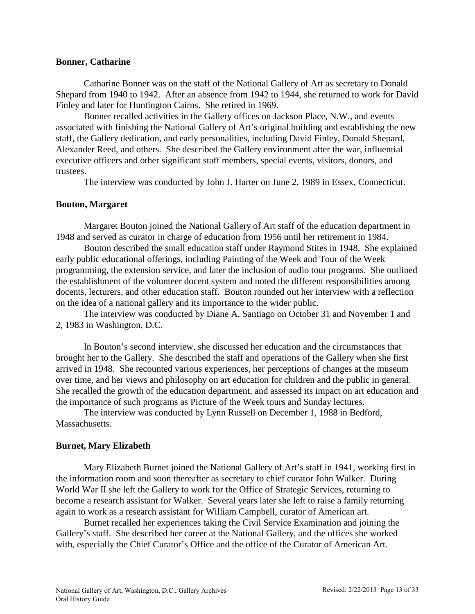### **Bonner, Catharine**

Catharine Bonner was on the staff of the National Gallery of Art as secretary to Donald Shepard from 1940 to 1942. After an absence from 1942 to 1944, she returned to work for David Finley and later for Huntington Cairns. She retired in 1969.

Bonner recalled activities in the Gallery offices on Jackson Place, N.W., and events associated with finishing the National Gallery of Art's original building and establishing the new staff, the Gallery dedication, and early personalities, including David Finley, Donald Shepard, Alexander Reed, and others. She described the Gallery environment after the war, influential executive officers and other significant staff members, special events, visitors, donors, and trustees.

The interview was conducted by John J. Harter on June 2, 1989 in Essex, Connecticut.

## **Bouton, Margaret**

Margaret Bouton joined the National Gallery of Art staff of the education department in 1948 and served as curator in charge of education from 1956 until her retirement in 1984.

Bouton described the small education staff under Raymond Stites in 1948. She explained early public educational offerings, including Painting of the Week and Tour of the Week programming, the extension service, and later the inclusion of audio tour programs. She outlined the establishment of the volunteer docent system and noted the different responsibilities among docents, lecturers, and other education staff. Bouton rounded out her interview with a reflection on the idea of a national gallery and its importance to the wider public.

The interview was conducted by Diane A. Santiago on October 31 and November 1 and 2, 1983 in Washington, D.C.

In Bouton's second interview, she discussed her education and the circumstances that brought her to the Gallery. She described the staff and operations of the Gallery when she first arrived in 1948. She recounted various experiences, her perceptions of changes at the museum over time, and her views and philosophy on art education for children and the public in general. She recalled the growth of the education department, and assessed its impact on art education and the importance of such programs as Picture of the Week tours and Sunday lectures.

The interview was conducted by Lynn Russell on December 1, 1988 in Bedford, Massachusetts.

# **Burnet, Mary Elizabeth**

Mary Elizabeth Burnet joined the National Gallery of Art's staff in 1941, working first in the information room and soon thereafter as secretary to chief curator John Walker. During World War II she left the Gallery to work for the Office of Strategic Services, returning to become a research assistant for Walker. Several years later she left to raise a family returning again to work as a research assistant for William Campbell, curator of American art.

Burnet recalled her experiences taking the Civil Service Examination and joining the Gallery's staff. She described her career at the National Gallery, and the offices she worked with, especially the Chief Curator's Office and the office of the Curator of American Art.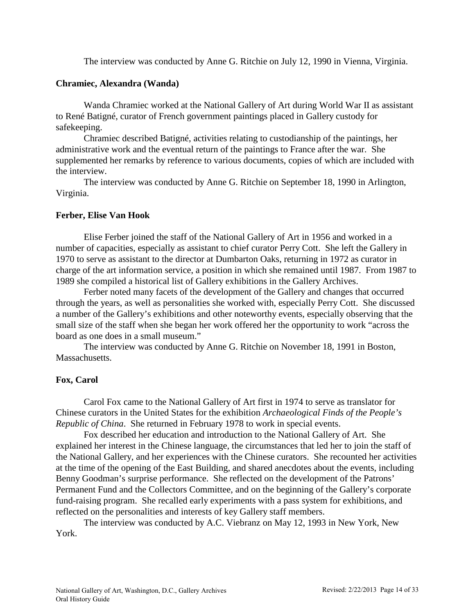The interview was conducted by Anne G. Ritchie on July 12, 1990 in Vienna, Virginia.

### **Chramiec, Alexandra (Wanda)**

Wanda Chramiec worked at the National Gallery of Art during World War II as assistant to René Batigné, curator of French government paintings placed in Gallery custody for safekeeping.

Chramiec described Batigné, activities relating to custodianship of the paintings, her administrative work and the eventual return of the paintings to France after the war. She supplemented her remarks by reference to various documents, copies of which are included with the interview.

The interview was conducted by Anne G. Ritchie on September 18, 1990 in Arlington, Virginia.

### **Ferber, Elise Van Hook**

Elise Ferber joined the staff of the National Gallery of Art in 1956 and worked in a number of capacities, especially as assistant to chief curator Perry Cott. She left the Gallery in 1970 to serve as assistant to the director at Dumbarton Oaks, returning in 1972 as curator in charge of the art information service, a position in which she remained until 1987. From 1987 to 1989 she compiled a historical list of Gallery exhibitions in the Gallery Archives.

Ferber noted many facets of the development of the Gallery and changes that occurred through the years, as well as personalities she worked with, especially Perry Cott. She discussed a number of the Gallery's exhibitions and other noteworthy events, especially observing that the small size of the staff when she began her work offered her the opportunity to work "across the board as one does in a small museum."

The interview was conducted by Anne G. Ritchie on November 18, 1991 in Boston, Massachusetts.

## **Fox, Carol**

Carol Fox came to the National Gallery of Art first in 1974 to serve as translator for Chinese curators in the United States for the exhibition *Archaeological Finds of the People's Republic of China*. She returned in February 1978 to work in special events.

Fox described her education and introduction to the National Gallery of Art. She explained her interest in the Chinese language, the circumstances that led her to join the staff of the National Gallery, and her experiences with the Chinese curators. She recounted her activities at the time of the opening of the East Building, and shared anecdotes about the events, including Benny Goodman's surprise performance. She reflected on the development of the Patrons' Permanent Fund and the Collectors Committee, and on the beginning of the Gallery's corporate fund-raising program. She recalled early experiments with a pass system for exhibitions, and reflected on the personalities and interests of key Gallery staff members.

The interview was conducted by A.C. Viebranz on May 12, 1993 in New York, New York.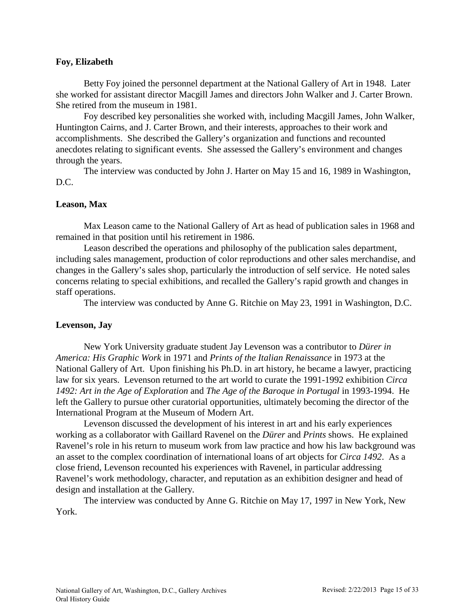## **Foy, Elizabeth**

Betty Foy joined the personnel department at the National Gallery of Art in 1948. Later she worked for assistant director Macgill James and directors John Walker and J. Carter Brown. She retired from the museum in 1981.

Foy described key personalities she worked with, including Macgill James, John Walker, Huntington Cairns, and J. Carter Brown, and their interests, approaches to their work and accomplishments. She described the Gallery's organization and functions and recounted anecdotes relating to significant events. She assessed the Gallery's environment and changes through the years.

The interview was conducted by John J. Harter on May 15 and 16, 1989 in Washington, D.C.

## **Leason, Max**

Max Leason came to the National Gallery of Art as head of publication sales in 1968 and remained in that position until his retirement in 1986.

Leason described the operations and philosophy of the publication sales department, including sales management, production of color reproductions and other sales merchandise, and changes in the Gallery's sales shop, particularly the introduction of self service. He noted sales concerns relating to special exhibitions, and recalled the Gallery's rapid growth and changes in staff operations.

The interview was conducted by Anne G. Ritchie on May 23, 1991 in Washington, D.C.

## **Levenson, Jay**

New York University graduate student Jay Levenson was a contributor to *Dürer in America: His Graphic Work* in 1971 and *Prints of the Italian Renaissance* in 1973 at the National Gallery of Art. Upon finishing his Ph.D. in art history, he became a lawyer, practicing law for six years. Levenson returned to the art world to curate the 1991-1992 exhibition *Circa 1492: Art in the Age of Exploration* and *The Age of the Baroque in Portugal* in 1993-1994. He left the Gallery to pursue other curatorial opportunities, ultimately becoming the director of the International Program at the Museum of Modern Art.

Levenson discussed the development of his interest in art and his early experiences working as a collaborator with Gaillard Ravenel on the *Dürer* and *Prints* shows. He explained Ravenel's role in his return to museum work from law practice and how his law background was an asset to the complex coordination of international loans of art objects for *Circa 1492*. As a close friend, Levenson recounted his experiences with Ravenel, in particular addressing Ravenel's work methodology, character, and reputation as an exhibition designer and head of design and installation at the Gallery.

The interview was conducted by Anne G. Ritchie on May 17, 1997 in New York, New York.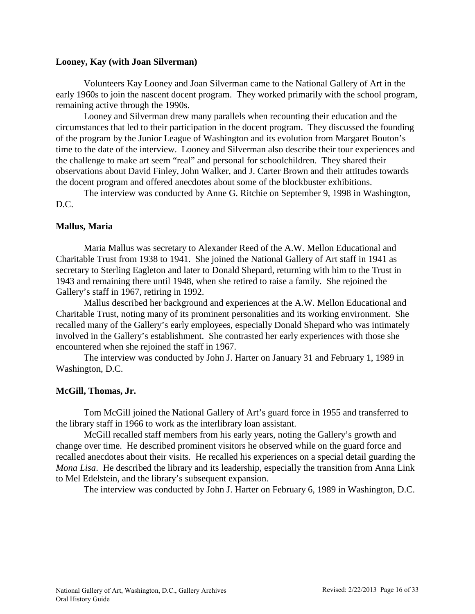### **Looney, Kay (with Joan Silverman)**

Volunteers Kay Looney and Joan Silverman came to the National Gallery of Art in the early 1960s to join the nascent docent program. They worked primarily with the school program, remaining active through the 1990s.

Looney and Silverman drew many parallels when recounting their education and the circumstances that led to their participation in the docent program. They discussed the founding of the program by the Junior League of Washington and its evolution from Margaret Bouton's time to the date of the interview. Looney and Silverman also describe their tour experiences and the challenge to make art seem "real" and personal for schoolchildren. They shared their observations about David Finley, John Walker, and J. Carter Brown and their attitudes towards the docent program and offered anecdotes about some of the blockbuster exhibitions.

The interview was conducted by Anne G. Ritchie on September 9, 1998 in Washington, D.C.

## **Mallus, Maria**

Maria Mallus was secretary to Alexander Reed of the A.W. Mellon Educational and Charitable Trust from 1938 to 1941. She joined the National Gallery of Art staff in 1941 as secretary to Sterling Eagleton and later to Donald Shepard, returning with him to the Trust in 1943 and remaining there until 1948, when she retired to raise a family. She rejoined the Gallery's staff in 1967, retiring in 1992.

Mallus described her background and experiences at the A.W. Mellon Educational and Charitable Trust, noting many of its prominent personalities and its working environment. She recalled many of the Gallery's early employees, especially Donald Shepard who was intimately involved in the Gallery's establishment. She contrasted her early experiences with those she encountered when she rejoined the staff in 1967.

The interview was conducted by John J. Harter on January 31 and February 1, 1989 in Washington, D.C.

## **McGill, Thomas, Jr.**

Tom McGill joined the National Gallery of Art's guard force in 1955 and transferred to the library staff in 1966 to work as the interlibrary loan assistant.

McGill recalled staff members from his early years, noting the Gallery's growth and change over time. He described prominent visitors he observed while on the guard force and recalled anecdotes about their visits. He recalled his experiences on a special detail guarding the *Mona Lisa*. He described the library and its leadership, especially the transition from Anna Link to Mel Edelstein, and the library's subsequent expansion.

The interview was conducted by John J. Harter on February 6, 1989 in Washington, D.C.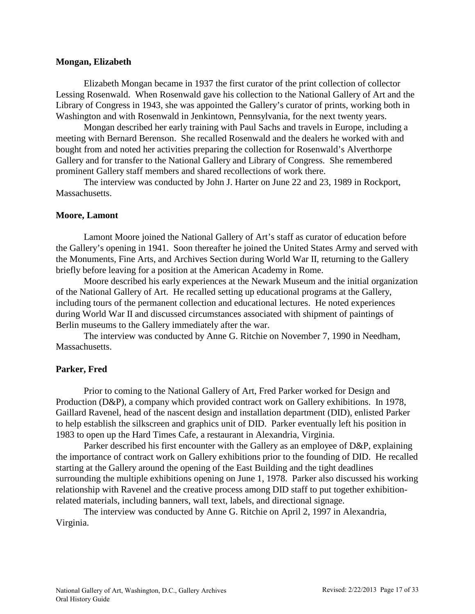### **Mongan, Elizabeth**

Elizabeth Mongan became in 1937 the first curator of the print collection of collector Lessing Rosenwald. When Rosenwald gave his collection to the National Gallery of Art and the Library of Congress in 1943, she was appointed the Gallery's curator of prints, working both in Washington and with Rosenwald in Jenkintown, Pennsylvania, for the next twenty years.

Mongan described her early training with Paul Sachs and travels in Europe, including a meeting with Bernard Berenson. She recalled Rosenwald and the dealers he worked with and bought from and noted her activities preparing the collection for Rosenwald's Alverthorpe Gallery and for transfer to the National Gallery and Library of Congress. She remembered prominent Gallery staff members and shared recollections of work there.

The interview was conducted by John J. Harter on June 22 and 23, 1989 in Rockport, Massachusetts.

### **Moore, Lamont**

Lamont Moore joined the National Gallery of Art's staff as curator of education before the Gallery's opening in 1941. Soon thereafter he joined the United States Army and served with the Monuments, Fine Arts, and Archives Section during World War II, returning to the Gallery briefly before leaving for a position at the American Academy in Rome.

Moore described his early experiences at the Newark Museum and the initial organization of the National Gallery of Art. He recalled setting up educational programs at the Gallery, including tours of the permanent collection and educational lectures. He noted experiences during World War II and discussed circumstances associated with shipment of paintings of Berlin museums to the Gallery immediately after the war.

The interview was conducted by Anne G. Ritchie on November 7, 1990 in Needham, Massachusetts.

## **Parker, Fred**

Prior to coming to the National Gallery of Art, Fred Parker worked for Design and Production (D&P), a company which provided contract work on Gallery exhibitions. In 1978, Gaillard Ravenel, head of the nascent design and installation department (DID), enlisted Parker to help establish the silkscreen and graphics unit of DID. Parker eventually left his position in 1983 to open up the Hard Times Cafe, a restaurant in Alexandria, Virginia.

Parker described his first encounter with the Gallery as an employee of D&P, explaining the importance of contract work on Gallery exhibitions prior to the founding of DID. He recalled starting at the Gallery around the opening of the East Building and the tight deadlines surrounding the multiple exhibitions opening on June 1, 1978. Parker also discussed his working relationship with Ravenel and the creative process among DID staff to put together exhibitionrelated materials, including banners, wall text, labels, and directional signage.

The interview was conducted by Anne G. Ritchie on April 2, 1997 in Alexandria, Virginia.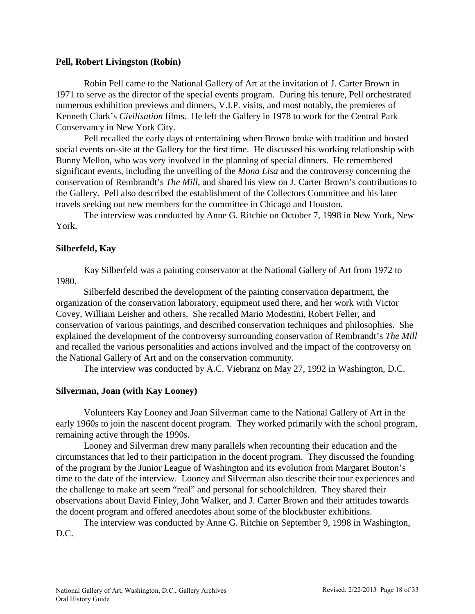### <span id="page-17-0"></span>**Pell, Robert Livingston (Robin)**

Robin Pell came to the National Gallery of Art at the invitation of J. Carter Brown in 1971 to serve as the director of the special events program. During his tenure, Pell orchestrated numerous exhibition previews and dinners, V.I.P. visits, and most notably, the premieres of Kenneth Clark's *Civilisation* films. He left the Gallery in 1978 to work for the Central Park Conservancy in New York City.

Pell recalled the early days of entertaining when Brown broke with tradition and hosted social events on-site at the Gallery for the first time. He discussed his working relationship with Bunny Mellon, who was very involved in the planning of special dinners. He remembered significant events, including the unveiling of the *Mona Lisa* and the controversy concerning the conservation of Rembrandt's *The Mill*, and shared his view on J. Carter Brown's contributions to the Gallery. Pell also described the establishment of the Collectors Committee and his later travels seeking out new members for the committee in Chicago and Houston.

The interview was conducted by Anne G. Ritchie on October 7, 1998 in New York, New York.

## **Silberfeld, Kay**

Kay Silberfeld was a painting conservator at the National Gallery of Art from 1972 to 1980.

Silberfeld described the development of the painting conservation department, the organization of the conservation laboratory, equipment used there, and her work with Victor Covey, William Leisher and others. She recalled Mario Modestini, Robert Feller, and conservation of various paintings, and described conservation techniques and philosophies. She explained the development of the controversy surrounding conservation of Rembrandt's *The Mill* and recalled the various personalities and actions involved and the impact of the controversy on the National Gallery of Art and on the conservation community.

The interview was conducted by A.C. Viebranz on May 27, 1992 in Washington, D.C.

#### **Silverman, Joan (with Kay Looney)**

Volunteers Kay Looney and Joan Silverman came to the National Gallery of Art in the early 1960s to join the nascent docent program. They worked primarily with the school program, remaining active through the 1990s.

Looney and Silverman drew many parallels when recounting their education and the circumstances that led to their participation in the docent program. They discussed the founding of the program by the Junior League of Washington and its evolution from Margaret Bouton's time to the date of the interview. Looney and Silverman also describe their tour experiences and the challenge to make art seem "real" and personal for schoolchildren. They shared their observations about David Finley, John Walker, and J. Carter Brown and their attitudes towards the docent program and offered anecdotes about some of the blockbuster exhibitions.

The interview was conducted by Anne G. Ritchie on September 9, 1998 in Washington, D.C.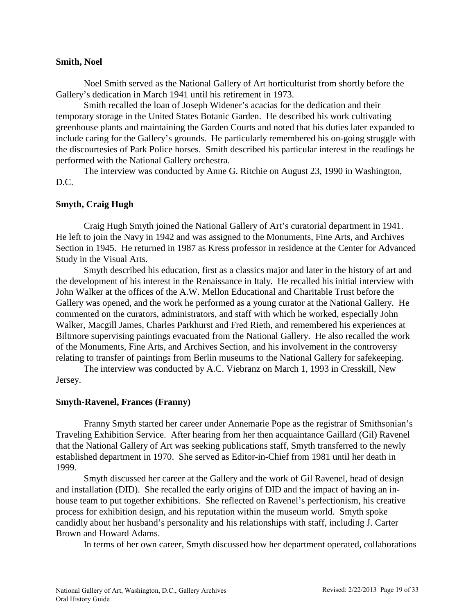### **Smith, Noel**

Noel Smith served as the National Gallery of Art horticulturist from shortly before the Gallery's dedication in March 1941 until his retirement in 1973.

Smith recalled the loan of Joseph Widener's acacias for the dedication and their temporary storage in the United States Botanic Garden. He described his work cultivating greenhouse plants and maintaining the Garden Courts and noted that his duties later expanded to include caring for the Gallery's grounds. He particularly remembered his on-going struggle with the discourtesies of Park Police horses. Smith described his particular interest in the readings he performed with the National Gallery orchestra.

The interview was conducted by Anne G. Ritchie on August 23, 1990 in Washington, D.C.

## **Smyth, Craig Hugh**

Craig Hugh Smyth joined the National Gallery of Art's curatorial department in 1941. He left to join the Navy in 1942 and was assigned to the Monuments, Fine Arts, and Archives Section in 1945. He returned in 1987 as Kress professor in residence at the Center for Advanced Study in the Visual Arts.

Smyth described his education, first as a classics major and later in the history of art and the development of his interest in the Renaissance in Italy. He recalled his initial interview with John Walker at the offices of the A.W. Mellon Educational and Charitable Trust before the Gallery was opened, and the work he performed as a young curator at the National Gallery. He commented on the curators, administrators, and staff with which he worked, especially John Walker, Macgill James, Charles Parkhurst and Fred Rieth, and remembered his experiences at Biltmore supervising paintings evacuated from the National Gallery. He also recalled the work of the Monuments, Fine Arts, and Archives Section, and his involvement in the controversy relating to transfer of paintings from Berlin museums to the National Gallery for safekeeping.

The interview was conducted by A.C. Viebranz on March 1, 1993 in Cresskill, New Jersey.

### **Smyth-Ravenel, Frances (Franny)**

Franny Smyth started her career under Annemarie Pope as the registrar of Smithsonian's Traveling Exhibition Service. After hearing from her then acquaintance Gaillard (Gil) Ravenel that the National Gallery of Art was seeking publications staff, Smyth transferred to the newly established department in 1970. She served as Editor-in-Chief from 1981 until her death in 1999.

Smyth discussed her career at the Gallery and the work of Gil Ravenel, head of design and installation (DID). She recalled the early origins of DID and the impact of having an inhouse team to put together exhibitions. She reflected on Ravenel's perfectionism, his creative process for exhibition design, and his reputation within the museum world. Smyth spoke candidly about her husband's personality and his relationships with staff, including J. Carter Brown and Howard Adams.

In terms of her own career, Smyth discussed how her department operated, collaborations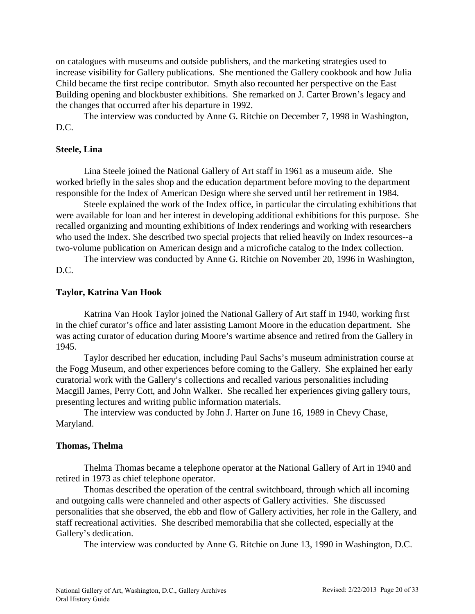on catalogues with museums and outside publishers, and the marketing strategies used to increase visibility for Gallery publications. She mentioned the Gallery cookbook and how Julia Child became the first recipe contributor. Smyth also recounted her perspective on the East Building opening and blockbuster exhibitions. She remarked on J. Carter Brown's legacy and the changes that occurred after his departure in 1992.

The interview was conducted by Anne G. Ritchie on December 7, 1998 in Washington, D.C.

### **Steele, Lina**

Lina Steele joined the National Gallery of Art staff in 1961 as a museum aide. She worked briefly in the sales shop and the education department before moving to the department responsible for the Index of American Design where she served until her retirement in 1984.

Steele explained the work of the Index office, in particular the circulating exhibitions that were available for loan and her interest in developing additional exhibitions for this purpose. She recalled organizing and mounting exhibitions of Index renderings and working with researchers who used the Index. She described two special projects that relied heavily on Index resources--a two-volume publication on American design and a microfiche catalog to the Index collection.

The interview was conducted by Anne G. Ritchie on November 20, 1996 in Washington, D.C.

#### **Taylor, Katrina Van Hook**

Katrina Van Hook Taylor joined the National Gallery of Art staff in 1940, working first in the chief curator's office and later assisting Lamont Moore in the education department. She was acting curator of education during Moore's wartime absence and retired from the Gallery in 1945.

Taylor described her education, including Paul Sachs's museum administration course at the Fogg Museum, and other experiences before coming to the Gallery. She explained her early curatorial work with the Gallery's collections and recalled various personalities including Macgill James, Perry Cott, and John Walker. She recalled her experiences giving gallery tours, presenting lectures and writing public information materials.

The interview was conducted by John J. Harter on June 16, 1989 in Chevy Chase, Maryland.

#### **Thomas, Thelma**

Thelma Thomas became a telephone operator at the National Gallery of Art in 1940 and retired in 1973 as chief telephone operator.

Thomas described the operation of the central switchboard, through which all incoming and outgoing calls were channeled and other aspects of Gallery activities. She discussed personalities that she observed, the ebb and flow of Gallery activities, her role in the Gallery, and staff recreational activities. She described memorabilia that she collected, especially at the Gallery's dedication.

The interview was conducted by Anne G. Ritchie on June 13, 1990 in Washington, D.C.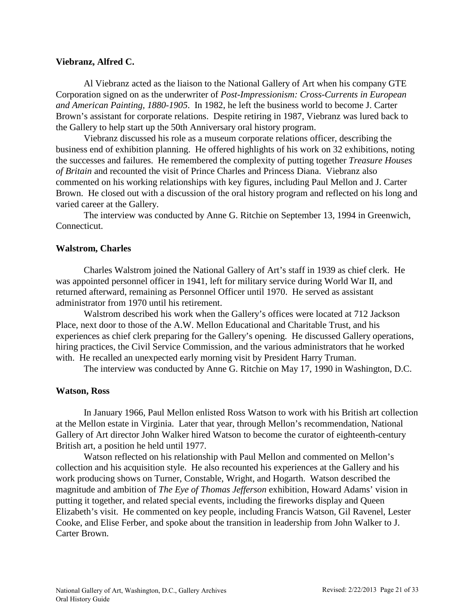## **Viebranz, Alfred C.**

Al Viebranz acted as the liaison to the National Gallery of Art when his company GTE Corporation signed on as the underwriter of *Post-Impressionism: Cross-Currents in European and American Painting, 1880-1905*. In 1982, he left the business world to become J. Carter Brown's assistant for corporate relations. Despite retiring in 1987, Viebranz was lured back to the Gallery to help start up the 50th Anniversary oral history program.

Viebranz discussed his role as a museum corporate relations officer, describing the business end of exhibition planning. He offered highlights of his work on 32 exhibitions, noting the successes and failures. He remembered the complexity of putting together *Treasure Houses of Britain* and recounted the visit of Prince Charles and Princess Diana. Viebranz also commented on his working relationships with key figures, including Paul Mellon and J. Carter Brown. He closed out with a discussion of the oral history program and reflected on his long and varied career at the Gallery.

The interview was conducted by Anne G. Ritchie on September 13, 1994 in Greenwich, Connecticut.

## **Walstrom, Charles**

Charles Walstrom joined the National Gallery of Art's staff in 1939 as chief clerk. He was appointed personnel officer in 1941, left for military service during World War II, and returned afterward, remaining as Personnel Officer until 1970. He served as assistant administrator from 1970 until his retirement.

Walstrom described his work when the Gallery's offices were located at 712 Jackson Place, next door to those of the A.W. Mellon Educational and Charitable Trust, and his experiences as chief clerk preparing for the Gallery's opening. He discussed Gallery operations, hiring practices, the Civil Service Commission, and the various administrators that he worked with. He recalled an unexpected early morning visit by President Harry Truman.

The interview was conducted by Anne G. Ritchie on May 17, 1990 in Washington, D.C.

## **Watson, Ross**

In January 1966, Paul Mellon enlisted Ross Watson to work with his British art collection at the Mellon estate in Virginia. Later that year, through Mellon's recommendation, National Gallery of Art director John Walker hired Watson to become the curator of eighteenth-century British art, a position he held until 1977.

Watson reflected on his relationship with Paul Mellon and commented on Mellon's collection and his acquisition style. He also recounted his experiences at the Gallery and his work producing shows on Turner, Constable, Wright, and Hogarth. Watson described the magnitude and ambition of *The Eye of Thomas Jefferson* exhibition, Howard Adams' vision in putting it together, and related special events, including the fireworks display and Queen Elizabeth's visit. He commented on key people, including Francis Watson, Gil Ravenel, Lester Cooke, and Elise Ferber, and spoke about the transition in leadership from John Walker to J. Carter Brown.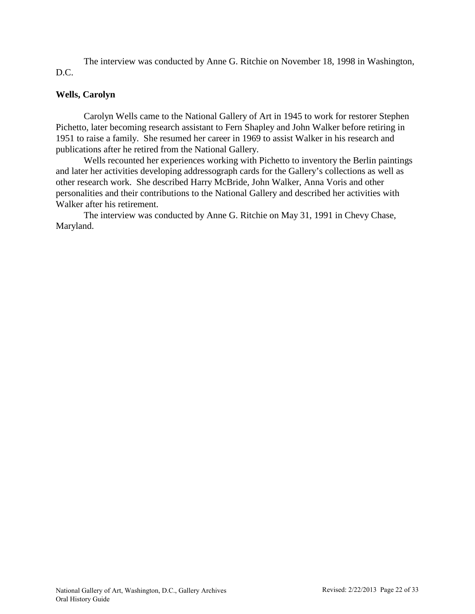The interview was conducted by Anne G. Ritchie on November 18, 1998 in Washington, D.C.

# **Wells, Carolyn**

Carolyn Wells came to the National Gallery of Art in 1945 to work for restorer Stephen Pichetto, later becoming research assistant to Fern Shapley and John Walker before retiring in 1951 to raise a family. She resumed her career in 1969 to assist Walker in his research and publications after he retired from the National Gallery.

Wells recounted her experiences working with Pichetto to inventory the Berlin paintings and later her activities developing addressograph cards for the Gallery's collections as well as other research work. She described Harry McBride, John Walker, Anna Voris and other personalities and their contributions to the National Gallery and described her activities with Walker after his retirement.

The interview was conducted by Anne G. Ritchie on May 31, 1991 in Chevy Chase, Maryland.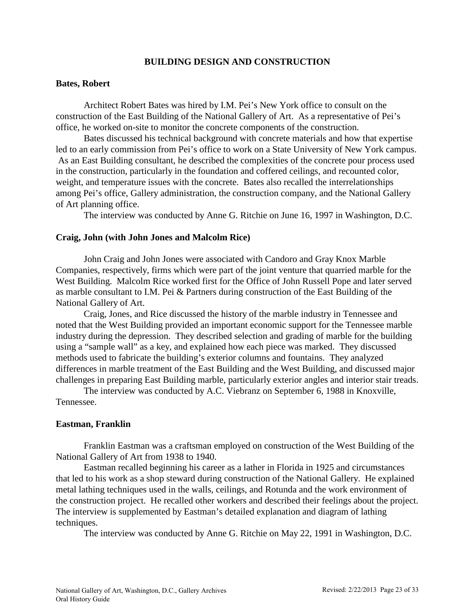# **BUILDING DESIGN AND CONSTRUCTION**

### <span id="page-22-0"></span>**Bates, Robert**

Architect Robert Bates was hired by I.M. Pei's New York office to consult on the construction of the East Building of the National Gallery of Art. As a representative of Pei's office, he worked on-site to monitor the concrete components of the construction.

Bates discussed his technical background with concrete materials and how that expertise led to an early commission from Pei's office to work on a State University of New York campus. As an East Building consultant, he described the complexities of the concrete pour process used in the construction, particularly in the foundation and coffered ceilings, and recounted color, weight, and temperature issues with the concrete. Bates also recalled the interrelationships among Pei's office, Gallery administration, the construction company, and the National Gallery of Art planning office.

The interview was conducted by Anne G. Ritchie on June 16, 1997 in Washington, D.C.

### **Craig, John (with John Jones and Malcolm Rice)**

John Craig and John Jones were associated with Candoro and Gray Knox Marble Companies, respectively, firms which were part of the joint venture that quarried marble for the West Building. Malcolm Rice worked first for the Office of John Russell Pope and later served as marble consultant to I.M. Pei & Partners during construction of the East Building of the National Gallery of Art.

Craig, Jones, and Rice discussed the history of the marble industry in Tennessee and noted that the West Building provided an important economic support for the Tennessee marble industry during the depression. They described selection and grading of marble for the building using a "sample wall" as a key, and explained how each piece was marked. They discussed methods used to fabricate the building's exterior columns and fountains. They analyzed differences in marble treatment of the East Building and the West Building, and discussed major challenges in preparing East Building marble, particularly exterior angles and interior stair treads.

The interview was conducted by A.C. Viebranz on September 6, 1988 in Knoxville, Tennessee.

## **Eastman, Franklin**

Franklin Eastman was a craftsman employed on construction of the West Building of the National Gallery of Art from 1938 to 1940.

Eastman recalled beginning his career as a lather in Florida in 1925 and circumstances that led to his work as a shop steward during construction of the National Gallery. He explained metal lathing techniques used in the walls, ceilings, and Rotunda and the work environment of the construction project. He recalled other workers and described their feelings about the project. The interview is supplemented by Eastman's detailed explanation and diagram of lathing techniques.

The interview was conducted by Anne G. Ritchie on May 22, 1991 in Washington, D.C.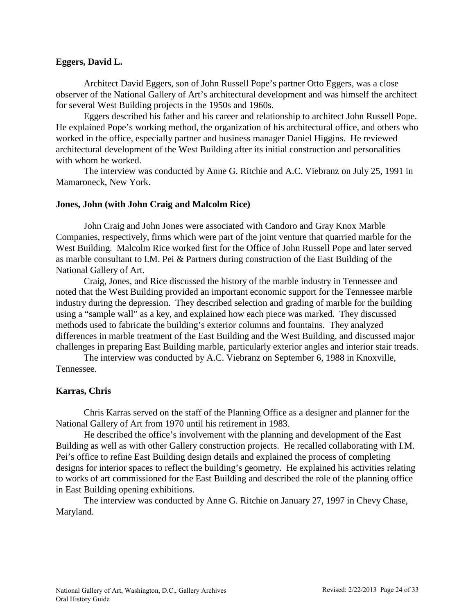## **Eggers, David L.**

Architect David Eggers, son of John Russell Pope's partner Otto Eggers, was a close observer of the National Gallery of Art's architectural development and was himself the architect for several West Building projects in the 1950s and 1960s.

Eggers described his father and his career and relationship to architect John Russell Pope. He explained Pope's working method, the organization of his architectural office, and others who worked in the office, especially partner and business manager Daniel Higgins. He reviewed architectural development of the West Building after its initial construction and personalities with whom he worked.

The interview was conducted by Anne G. Ritchie and A.C. Viebranz on July 25, 1991 in Mamaroneck, New York.

## **Jones, John (with John Craig and Malcolm Rice)**

John Craig and John Jones were associated with Candoro and Gray Knox Marble Companies, respectively, firms which were part of the joint venture that quarried marble for the West Building. Malcolm Rice worked first for the Office of John Russell Pope and later served as marble consultant to I.M. Pei & Partners during construction of the East Building of the National Gallery of Art.

Craig, Jones, and Rice discussed the history of the marble industry in Tennessee and noted that the West Building provided an important economic support for the Tennessee marble industry during the depression. They described selection and grading of marble for the building using a "sample wall" as a key, and explained how each piece was marked. They discussed methods used to fabricate the building's exterior columns and fountains. They analyzed differences in marble treatment of the East Building and the West Building, and discussed major challenges in preparing East Building marble, particularly exterior angles and interior stair treads.

The interview was conducted by A.C. Viebranz on September 6, 1988 in Knoxville, Tennessee.

## **Karras, Chris**

Chris Karras served on the staff of the Planning Office as a designer and planner for the National Gallery of Art from 1970 until his retirement in 1983.

He described the office's involvement with the planning and development of the East Building as well as with other Gallery construction projects. He recalled collaborating with I.M. Pei's office to refine East Building design details and explained the process of completing designs for interior spaces to reflect the building's geometry. He explained his activities relating to works of art commissioned for the East Building and described the role of the planning office in East Building opening exhibitions.

The interview was conducted by Anne G. Ritchie on January 27, 1997 in Chevy Chase, Maryland.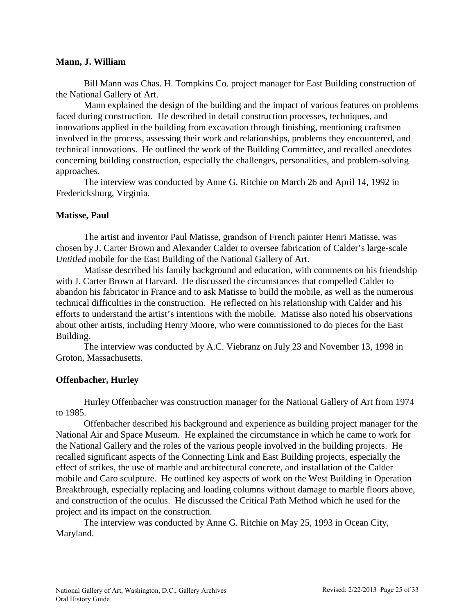## **Mann, J. William**

Bill Mann was Chas. H. Tompkins Co. project manager for East Building construction of the National Gallery of Art.

Mann explained the design of the building and the impact of various features on problems faced during construction. He described in detail construction processes, techniques, and innovations applied in the building from excavation through finishing, mentioning craftsmen involved in the process, assessing their work and relationships, problems they encountered, and technical innovations. He outlined the work of the Building Committee, and recalled anecdotes concerning building construction, especially the challenges, personalities, and problem-solving approaches.

The interview was conducted by Anne G. Ritchie on March 26 and April 14, 1992 in Fredericksburg, Virginia.

## **Matisse, Paul**

The artist and inventor Paul Matisse, grandson of French painter Henri Matisse, was chosen by J. Carter Brown and Alexander Calder to oversee fabrication of Calder's large-scale *Untitled* mobile for the East Building of the National Gallery of Art.

Matisse described his family background and education, with comments on his friendship with J. Carter Brown at Harvard. He discussed the circumstances that compelled Calder to abandon his fabricator in France and to ask Matisse to build the mobile, as well as the numerous technical difficulties in the construction. He reflected on his relationship with Calder and his efforts to understand the artist's intentions with the mobile. Matisse also noted his observations about other artists, including Henry Moore, who were commissioned to do pieces for the East Building.

The interview was conducted by A.C. Viebranz on July 23 and November 13, 1998 in Groton, Massachusetts.

# **Offenbacher, Hurley**

Hurley Offenbacher was construction manager for the National Gallery of Art from 1974 to 1985.

Offenbacher described his background and experience as building project manager for the National Air and Space Museum. He explained the circumstance in which he came to work for the National Gallery and the roles of the various people involved in the building projects. He recalled significant aspects of the Connecting Link and East Building projects, especially the effect of strikes, the use of marble and architectural concrete, and installation of the Calder mobile and Caro sculpture. He outlined key aspects of work on the West Building in Operation Breakthrough, especially replacing and loading columns without damage to marble floors above, and construction of the oculus. He discussed the Critical Path Method which he used for the project and its impact on the construction.

The interview was conducted by Anne G. Ritchie on May 25, 1993 in Ocean City, Maryland.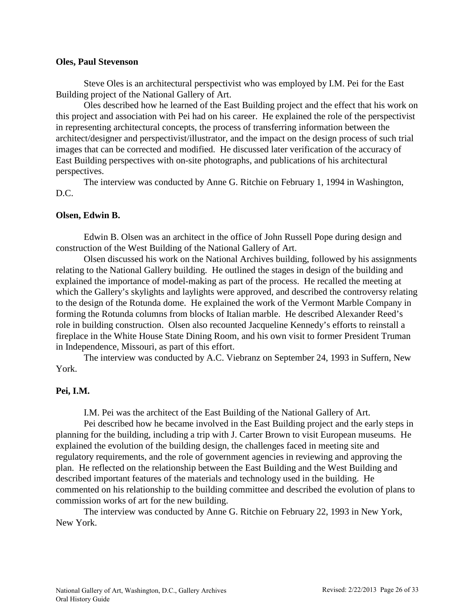## **Oles, Paul Stevenson**

Steve Oles is an architectural perspectivist who was employed by I.M. Pei for the East Building project of the National Gallery of Art.

Oles described how he learned of the East Building project and the effect that his work on this project and association with Pei had on his career. He explained the role of the perspectivist in representing architectural concepts, the process of transferring information between the architect/designer and perspectivist/illustrator, and the impact on the design process of such trial images that can be corrected and modified. He discussed later verification of the accuracy of East Building perspectives with on-site photographs, and publications of his architectural perspectives.

The interview was conducted by Anne G. Ritchie on February 1, 1994 in Washington, D.C.

# **Olsen, Edwin B.**

Edwin B. Olsen was an architect in the office of John Russell Pope during design and construction of the West Building of the National Gallery of Art.

Olsen discussed his work on the National Archives building, followed by his assignments relating to the National Gallery building. He outlined the stages in design of the building and explained the importance of model-making as part of the process. He recalled the meeting at which the Gallery's skylights and laylights were approved, and described the controversy relating to the design of the Rotunda dome. He explained the work of the Vermont Marble Company in forming the Rotunda columns from blocks of Italian marble. He described Alexander Reed's role in building construction. Olsen also recounted Jacqueline Kennedy's efforts to reinstall a fireplace in the White House State Dining Room, and his own visit to former President Truman in Independence, Missouri, as part of this effort.

The interview was conducted by A.C. Viebranz on September 24, 1993 in Suffern, New York.

# **Pei, I.M.**

I.M. Pei was the architect of the East Building of the National Gallery of Art.

Pei described how he became involved in the East Building project and the early steps in planning for the building, including a trip with J. Carter Brown to visit European museums. He explained the evolution of the building design, the challenges faced in meeting site and regulatory requirements, and the role of government agencies in reviewing and approving the plan. He reflected on the relationship between the East Building and the West Building and described important features of the materials and technology used in the building. He commented on his relationship to the building committee and described the evolution of plans to commission works of art for the new building.

The interview was conducted by Anne G. Ritchie on February 22, 1993 in New York, New York.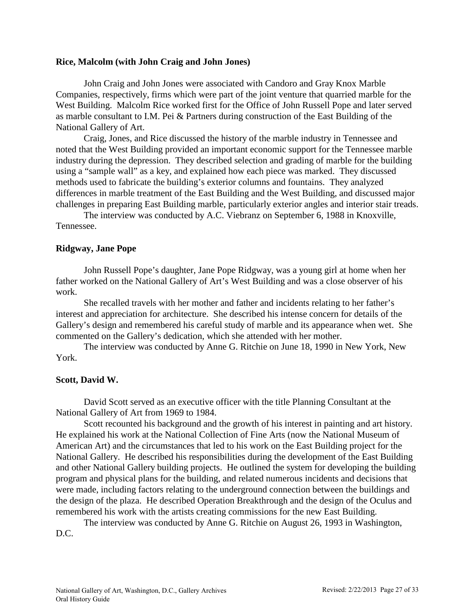### **Rice, Malcolm (with John Craig and John Jones)**

John Craig and John Jones were associated with Candoro and Gray Knox Marble Companies, respectively, firms which were part of the joint venture that quarried marble for the West Building. Malcolm Rice worked first for the Office of John Russell Pope and later served as marble consultant to I.M. Pei & Partners during construction of the East Building of the National Gallery of Art.

Craig, Jones, and Rice discussed the history of the marble industry in Tennessee and noted that the West Building provided an important economic support for the Tennessee marble industry during the depression. They described selection and grading of marble for the building using a "sample wall" as a key, and explained how each piece was marked. They discussed methods used to fabricate the building's exterior columns and fountains. They analyzed differences in marble treatment of the East Building and the West Building, and discussed major challenges in preparing East Building marble, particularly exterior angles and interior stair treads.

The interview was conducted by A.C. Viebranz on September 6, 1988 in Knoxville, Tennessee.

### **Ridgway, Jane Pope**

John Russell Pope's daughter, Jane Pope Ridgway, was a young girl at home when her father worked on the National Gallery of Art's West Building and was a close observer of his work.

She recalled travels with her mother and father and incidents relating to her father's interest and appreciation for architecture. She described his intense concern for details of the Gallery's design and remembered his careful study of marble and its appearance when wet. She commented on the Gallery's dedication, which she attended with her mother.

The interview was conducted by Anne G. Ritchie on June 18, 1990 in New York, New York.

## **Scott, David W.**

David Scott served as an executive officer with the title Planning Consultant at the National Gallery of Art from 1969 to 1984.

Scott recounted his background and the growth of his interest in painting and art history. He explained his work at the National Collection of Fine Arts (now the National Museum of American Art) and the circumstances that led to his work on the East Building project for the National Gallery. He described his responsibilities during the development of the East Building and other National Gallery building projects. He outlined the system for developing the building program and physical plans for the building, and related numerous incidents and decisions that were made, including factors relating to the underground connection between the buildings and the design of the plaza. He described Operation Breakthrough and the design of the Oculus and remembered his work with the artists creating commissions for the new East Building.

The interview was conducted by Anne G. Ritchie on August 26, 1993 in Washington, D.C.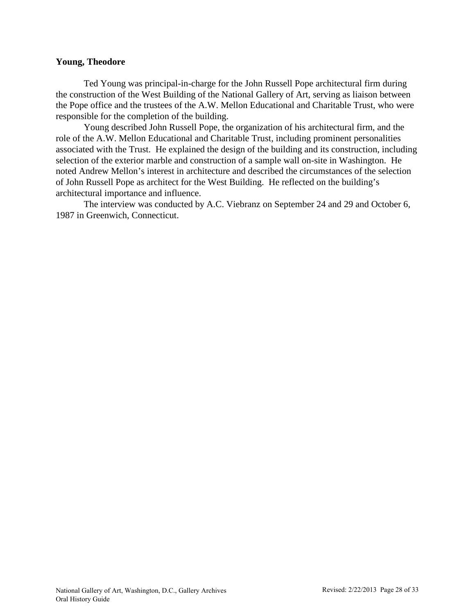### **Young, Theodore**

Ted Young was principal-in-charge for the John Russell Pope architectural firm during the construction of the West Building of the National Gallery of Art, serving as liaison between the Pope office and the trustees of the A.W. Mellon Educational and Charitable Trust, who were responsible for the completion of the building.

Young described John Russell Pope, the organization of his architectural firm, and the role of the A.W. Mellon Educational and Charitable Trust, including prominent personalities associated with the Trust. He explained the design of the building and its construction, including selection of the exterior marble and construction of a sample wall on-site in Washington. He noted Andrew Mellon's interest in architecture and described the circumstances of the selection of John Russell Pope as architect for the West Building. He reflected on the building's architectural importance and influence.

The interview was conducted by A.C. Viebranz on September 24 and 29 and October 6, 1987 in Greenwich, Connecticut.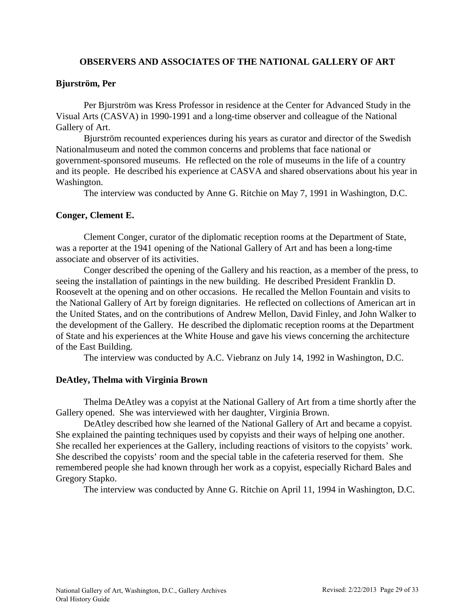# **OBSERVERS AND ASSOCIATES OF THE NATIONAL GALLERY OF ART**

## <span id="page-28-0"></span>**Bjurström, Per**

Per Bjurström was Kress Professor in residence at the Center for Advanced Study in the Visual Arts (CASVA) in 1990-1991 and a long-time observer and colleague of the National Gallery of Art.

Bjurström recounted experiences during his years as curator and director of the Swedish Nationalmuseum and noted the common concerns and problems that face national or government-sponsored museums. He reflected on the role of museums in the life of a country and its people. He described his experience at CASVA and shared observations about his year in Washington.

The interview was conducted by Anne G. Ritchie on May 7, 1991 in Washington, D.C.

## **Conger, Clement E.**

Clement Conger, curator of the diplomatic reception rooms at the Department of State, was a reporter at the 1941 opening of the National Gallery of Art and has been a long-time associate and observer of its activities.

Conger described the opening of the Gallery and his reaction, as a member of the press, to seeing the installation of paintings in the new building. He described President Franklin D. Roosevelt at the opening and on other occasions. He recalled the Mellon Fountain and visits to the National Gallery of Art by foreign dignitaries. He reflected on collections of American art in the United States, and on the contributions of Andrew Mellon, David Finley, and John Walker to the development of the Gallery. He described the diplomatic reception rooms at the Department of State and his experiences at the White House and gave his views concerning the architecture of the East Building.

The interview was conducted by A.C. Viebranz on July 14, 1992 in Washington, D.C.

## **DeAtley, Thelma with Virginia Brown**

Thelma DeAtley was a copyist at the National Gallery of Art from a time shortly after the Gallery opened. She was interviewed with her daughter, Virginia Brown.

DeAtley described how she learned of the National Gallery of Art and became a copyist. She explained the painting techniques used by copyists and their ways of helping one another. She recalled her experiences at the Gallery, including reactions of visitors to the copyists' work. She described the copyists' room and the special table in the cafeteria reserved for them. She remembered people she had known through her work as a copyist, especially Richard Bales and Gregory Stapko.

The interview was conducted by Anne G. Ritchie on April 11, 1994 in Washington, D.C.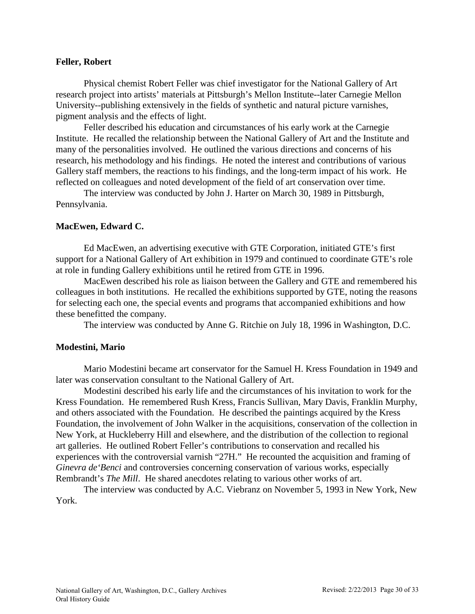### **Feller, Robert**

Physical chemist Robert Feller was chief investigator for the National Gallery of Art research project into artists' materials at Pittsburgh's Mellon Institute--later Carnegie Mellon University--publishing extensively in the fields of synthetic and natural picture varnishes, pigment analysis and the effects of light.

Feller described his education and circumstances of his early work at the Carnegie Institute. He recalled the relationship between the National Gallery of Art and the Institute and many of the personalities involved. He outlined the various directions and concerns of his research, his methodology and his findings. He noted the interest and contributions of various Gallery staff members, the reactions to his findings, and the long-term impact of his work. He reflected on colleagues and noted development of the field of art conservation over time.

The interview was conducted by John J. Harter on March 30, 1989 in Pittsburgh, Pennsylvania.

### **MacEwen, Edward C.**

Ed MacEwen, an advertising executive with GTE Corporation, initiated GTE's first support for a National Gallery of Art exhibition in 1979 and continued to coordinate GTE's role at role in funding Gallery exhibitions until he retired from GTE in 1996.

MacEwen described his role as liaison between the Gallery and GTE and remembered his colleagues in both institutions. He recalled the exhibitions supported by GTE, noting the reasons for selecting each one, the special events and programs that accompanied exhibitions and how these benefitted the company.

The interview was conducted by Anne G. Ritchie on July 18, 1996 in Washington, D.C.

## **Modestini, Mario**

Mario Modestini became art conservator for the Samuel H. Kress Foundation in 1949 and later was conservation consultant to the National Gallery of Art.

Modestini described his early life and the circumstances of his invitation to work for the Kress Foundation. He remembered Rush Kress, Francis Sullivan, Mary Davis, Franklin Murphy, and others associated with the Foundation. He described the paintings acquired by the Kress Foundation, the involvement of John Walker in the acquisitions, conservation of the collection in New York, at Huckleberry Hill and elsewhere, and the distribution of the collection to regional art galleries. He outlined Robert Feller's contributions to conservation and recalled his experiences with the controversial varnish "27H." He recounted the acquisition and framing of *Ginevra de'Benci* and controversies concerning conservation of various works, especially Rembrandt's *The Mill*. He shared anecdotes relating to various other works of art.

The interview was conducted by A.C. Viebranz on November 5, 1993 in New York, New York.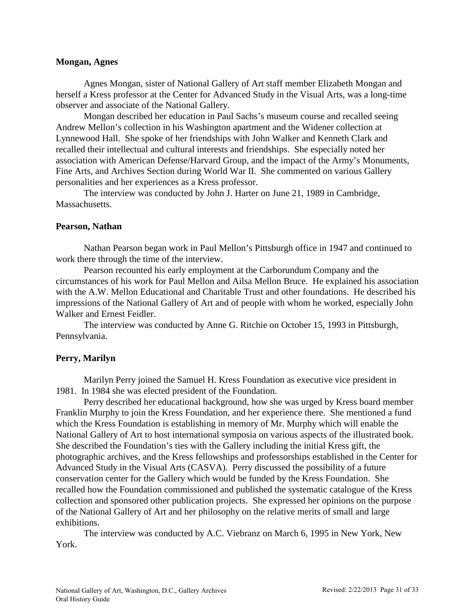### **Mongan, Agnes**

Agnes Mongan, sister of National Gallery of Art staff member Elizabeth Mongan and herself a Kress professor at the Center for Advanced Study in the Visual Arts, was a long-time observer and associate of the National Gallery.

Mongan described her education in Paul Sachs's museum course and recalled seeing Andrew Mellon's collection in his Washington apartment and the Widener collection at Lynnewood Hall. She spoke of her friendships with John Walker and Kenneth Clark and recalled their intellectual and cultural interests and friendships. She especially noted her association with American Defense/Harvard Group, and the impact of the Army's Monuments, Fine Arts, and Archives Section during World War II. She commented on various Gallery personalities and her experiences as a Kress professor.

The interview was conducted by John J. Harter on June 21, 1989 in Cambridge, Massachusetts.

### **Pearson, Nathan**

Nathan Pearson began work in Paul Mellon's Pittsburgh office in 1947 and continued to work there through the time of the interview.

Pearson recounted his early employment at the Carborundum Company and the circumstances of his work for Paul Mellon and Ailsa Mellon Bruce. He explained his association with the A.W. Mellon Educational and Charitable Trust and other foundations. He described his impressions of the National Gallery of Art and of people with whom he worked, especially John Walker and Ernest Feidler.

The interview was conducted by Anne G. Ritchie on October 15, 1993 in Pittsburgh, Pennsylvania.

# **Perry, Marilyn**

Marilyn Perry joined the Samuel H. Kress Foundation as executive vice president in 1981. In 1984 she was elected president of the Foundation.

Perry described her educational background, how she was urged by Kress board member Franklin Murphy to join the Kress Foundation, and her experience there. She mentioned a fund which the Kress Foundation is establishing in memory of Mr. Murphy which will enable the National Gallery of Art to host international symposia on various aspects of the illustrated book. She described the Foundation's ties with the Gallery including the initial Kress gift, the photographic archives, and the Kress fellowships and professorships established in the Center for Advanced Study in the Visual Arts (CASVA). Perry discussed the possibility of a future conservation center for the Gallery which would be funded by the Kress Foundation. She recalled how the Foundation commissioned and published the systematic catalogue of the Kress collection and sponsored other publication projects. She expressed her opinions on the purpose of the National Gallery of Art and her philosophy on the relative merits of small and large exhibitions.

The interview was conducted by A.C. Viebranz on March 6, 1995 in New York, New York.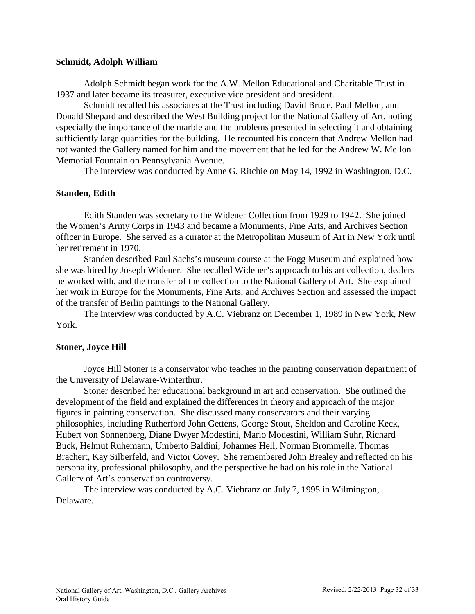### **Schmidt, Adolph William**

Adolph Schmidt began work for the A.W. Mellon Educational and Charitable Trust in 1937 and later became its treasurer, executive vice president and president.

Schmidt recalled his associates at the Trust including David Bruce, Paul Mellon, and Donald Shepard and described the West Building project for the National Gallery of Art, noting especially the importance of the marble and the problems presented in selecting it and obtaining sufficiently large quantities for the building. He recounted his concern that Andrew Mellon had not wanted the Gallery named for him and the movement that he led for the Andrew W. Mellon Memorial Fountain on Pennsylvania Avenue.

The interview was conducted by Anne G. Ritchie on May 14, 1992 in Washington, D.C.

### **Standen, Edith**

Edith Standen was secretary to the Widener Collection from 1929 to 1942. She joined the Women's Army Corps in 1943 and became a Monuments, Fine Arts, and Archives Section officer in Europe. She served as a curator at the Metropolitan Museum of Art in New York until her retirement in 1970.

Standen described Paul Sachs's museum course at the Fogg Museum and explained how she was hired by Joseph Widener. She recalled Widener's approach to his art collection, dealers he worked with, and the transfer of the collection to the National Gallery of Art. She explained her work in Europe for the Monuments, Fine Arts, and Archives Section and assessed the impact of the transfer of Berlin paintings to the National Gallery.

The interview was conducted by A.C. Viebranz on December 1, 1989 in New York, New York.

## **Stoner, Joyce Hill**

Joyce Hill Stoner is a conservator who teaches in the painting conservation department of the University of Delaware-Winterthur.

Stoner described her educational background in art and conservation. She outlined the development of the field and explained the differences in theory and approach of the major figures in painting conservation. She discussed many conservators and their varying philosophies, including Rutherford John Gettens, George Stout, Sheldon and Caroline Keck, Hubert von Sonnenberg, Diane Dwyer Modestini, Mario Modestini, William Suhr, Richard Buck, Helmut Ruhemann, Umberto Baldini, Johannes Hell, Norman Brommelle, Thomas Brachert, Kay Silberfeld, and Victor Covey. She remembered John Brealey and reflected on his personality, professional philosophy, and the perspective he had on his role in the National Gallery of Art's conservation controversy.

The interview was conducted by A.C. Viebranz on July 7, 1995 in Wilmington, Delaware.